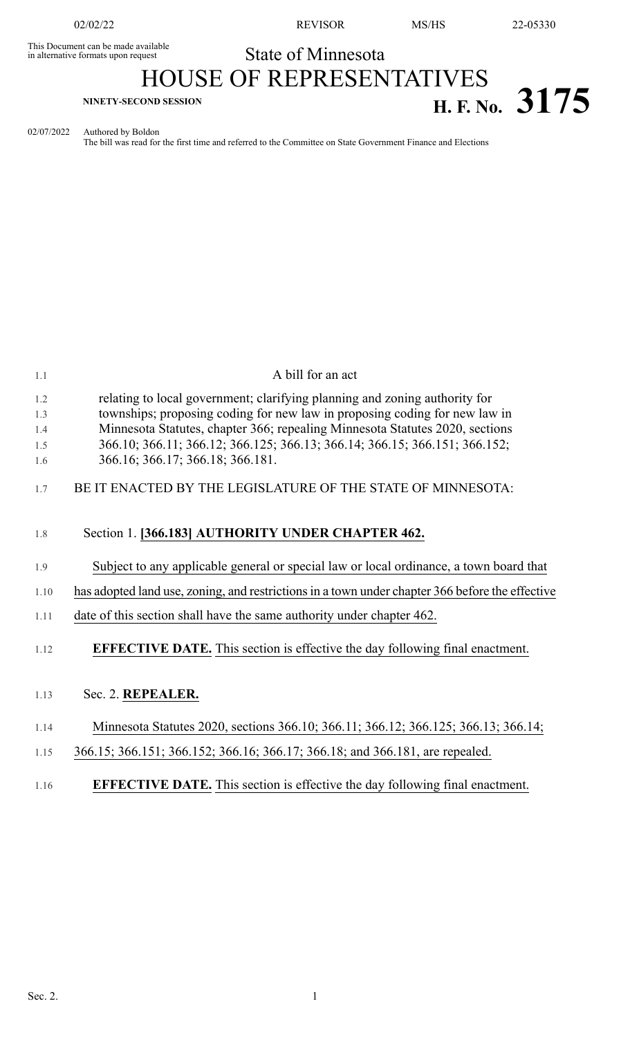This Document can be made available<br>in alternative formats upon request

02/02/22 REVISOR MS/HS 22-05330

# State of Minnesota HOUSE OF REPRESENTATIVES **H. F. No. 3175 H. F. No. 3175**

02/07/2022 Authored by Boldon

The bill was read for the first time and referred to the Committee on State Government Finance and Elections

| 1.1        | A bill for an act                                                                                                                                        |
|------------|----------------------------------------------------------------------------------------------------------------------------------------------------------|
| 1.2<br>1.3 | relating to local government; clarifying planning and zoning authority for<br>townships; proposing coding for new law in proposing coding for new law in |
| 1.4        | Minnesota Statutes, chapter 366; repealing Minnesota Statutes 2020, sections                                                                             |
| 1.5        | 366.10; 366.11; 366.12; 366.125; 366.13; 366.14; 366.15; 366.151; 366.152;                                                                               |
| 1.6        | 366.16; 366.17; 366.18; 366.181.                                                                                                                         |
| 1.7        | BE IT ENACTED BY THE LEGISLATURE OF THE STATE OF MINNESOTA:                                                                                              |
| 1.8        | Section 1. [366.183] AUTHORITY UNDER CHAPTER 462.                                                                                                        |
| 1.9        | Subject to any applicable general or special law or local ordinance, a town board that                                                                   |
| 1.10       | has adopted land use, zoning, and restrictions in a town under chapter 366 before the effective                                                          |
| 1.11       | date of this section shall have the same authority under chapter 462.                                                                                    |
| 1.12       | <b>EFFECTIVE DATE.</b> This section is effective the day following final enactment.                                                                      |
| 1.13       | Sec. 2. REPEALER.                                                                                                                                        |
| 1.14       | Minnesota Statutes 2020, sections 366.10; 366.11; 366.12; 366.125; 366.13; 366.14;                                                                       |
| 1.15       | 366.15; 366.151; 366.152; 366.16; 366.17; 366.18; and 366.181, are repealed.                                                                             |
| 1.16       | <b>EFFECTIVE DATE.</b> This section is effective the day following final enactment.                                                                      |
|            |                                                                                                                                                          |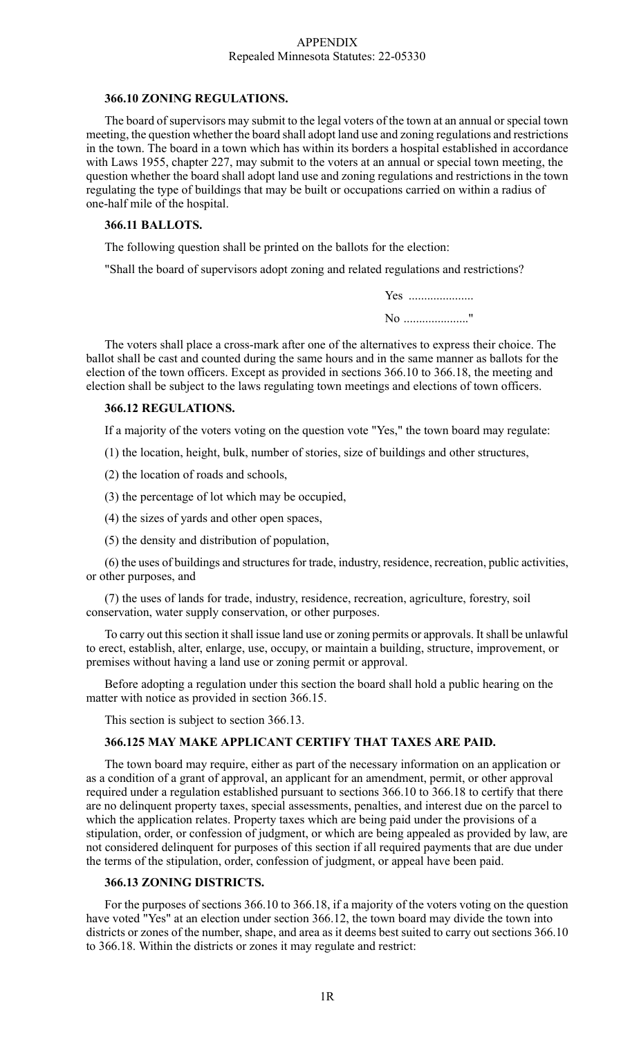#### APPENDIX Repealed Minnesota Statutes: 22-05330

#### **366.10 ZONING REGULATIONS.**

The board of supervisors may submit to the legal voters of the town at an annual or special town meeting, the question whether the board shall adopt land use and zoning regulations and restrictions in the town. The board in a town which has within its borders a hospital established in accordance with Laws 1955, chapter 227, may submit to the voters at an annual or special town meeting, the question whether the board shall adopt land use and zoning regulations and restrictions in the town regulating the type of buildings that may be built or occupations carried on within a radius of one-half mile of the hospital.

#### **366.11 BALLOTS.**

The following question shall be printed on the ballots for the election:

"Shall the board of supervisors adopt zoning and related regulations and restrictions?

Yes ....................... No ....................."

The voters shall place a cross-mark after one of the alternatives to express their choice. The ballot shall be cast and counted during the same hours and in the same manner as ballots for the election of the town officers. Except as provided in sections 366.10 to 366.18, the meeting and election shall be subject to the laws regulating town meetings and elections of town officers.

#### **366.12 REGULATIONS.**

If a majority of the voters voting on the question vote "Yes," the town board may regulate:

(1) the location, height, bulk, number of stories, size of buildings and other structures,

- (2) the location of roads and schools,
- (3) the percentage of lot which may be occupied,
- (4) the sizes of yards and other open spaces,
- (5) the density and distribution of population,

(6) the uses of buildings and structures for trade, industry, residence, recreation, public activities, or other purposes, and

(7) the uses of lands for trade, industry, residence, recreation, agriculture, forestry, soil conservation, water supply conservation, or other purposes.

To carry out this section it shall issue land use or zoning permits or approvals. It shall be unlawful to erect, establish, alter, enlarge, use, occupy, or maintain a building, structure, improvement, or premises without having a land use or zoning permit or approval.

Before adopting a regulation under this section the board shall hold a public hearing on the matter with notice as provided in section 366.15.

This section is subject to section 366.13.

# **366.125 MAY MAKE APPLICANT CERTIFY THAT TAXES ARE PAID.**

The town board may require, either as part of the necessary information on an application or as a condition of a grant of approval, an applicant for an amendment, permit, or other approval required under a regulation established pursuant to sections 366.10 to 366.18 to certify that there are no delinquent property taxes, special assessments, penalties, and interest due on the parcel to which the application relates. Property taxes which are being paid under the provisions of a stipulation, order, or confession of judgment, or which are being appealed as provided by law, are not considered delinquent for purposes of this section if all required payments that are due under the terms of the stipulation, order, confession of judgment, or appeal have been paid.

#### **366.13 ZONING DISTRICTS.**

For the purposes of sections 366.10 to 366.18, if a majority of the voters voting on the question have voted "Yes" at an election under section 366.12, the town board may divide the town into districts or zones of the number, shape, and area as it deems best suited to carry out sections 366.10 to 366.18. Within the districts or zones it may regulate and restrict: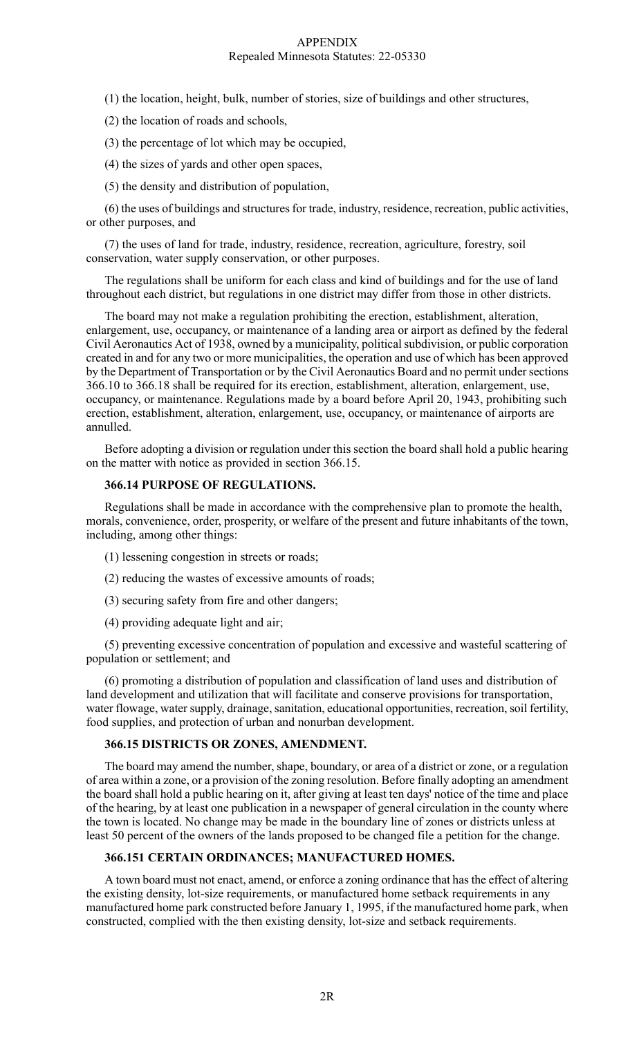#### APPENDIX Repealed Minnesota Statutes: 22-05330

- (1) the location, height, bulk, number of stories, size of buildings and other structures,
- (2) the location of roads and schools,
- (3) the percentage of lot which may be occupied,
- (4) the sizes of yards and other open spaces,
- (5) the density and distribution of population,

(6) the uses of buildings and structures for trade, industry, residence, recreation, public activities, or other purposes, and

(7) the uses of land for trade, industry, residence, recreation, agriculture, forestry, soil conservation, water supply conservation, or other purposes.

The regulations shall be uniform for each class and kind of buildings and for the use of land throughout each district, but regulations in one district may differ from those in other districts.

The board may not make a regulation prohibiting the erection, establishment, alteration, enlargement, use, occupancy, or maintenance of a landing area or airport as defined by the federal Civil Aeronautics Act of 1938, owned by a municipality, political subdivision, or public corporation created in and for any two or more municipalities, the operation and use of which has been approved by the Department of Transportation or by the Civil Aeronautics Board and no permit under sections 366.10 to 366.18 shall be required for its erection, establishment, alteration, enlargement, use, occupancy, or maintenance. Regulations made by a board before April 20, 1943, prohibiting such erection, establishment, alteration, enlargement, use, occupancy, or maintenance of airports are annulled.

Before adopting a division or regulation under this section the board shall hold a public hearing on the matter with notice as provided in section 366.15.

#### **366.14 PURPOSE OF REGULATIONS.**

Regulations shall be made in accordance with the comprehensive plan to promote the health, morals, convenience, order, prosperity, or welfare of the present and future inhabitants of the town, including, among other things:

- (1) lessening congestion in streets or roads;
- (2) reducing the wastes of excessive amounts of roads;
- (3) securing safety from fire and other dangers;
- (4) providing adequate light and air;

(5) preventing excessive concentration of population and excessive and wasteful scattering of population or settlement; and

(6) promoting a distribution of population and classification of land uses and distribution of land development and utilization that will facilitate and conserve provisions for transportation, water flowage, water supply, drainage, sanitation, educational opportunities, recreation, soil fertility, food supplies, and protection of urban and nonurban development.

#### **366.15 DISTRICTS OR ZONES, AMENDMENT.**

The board may amend the number, shape, boundary, or area of a district or zone, or a regulation of area within a zone, or a provision of the zoning resolution. Before finally adopting an amendment the board shall hold a public hearing on it, after giving at least ten days' notice of the time and place of the hearing, by at least one publication in a newspaper of general circulation in the county where the town is located. No change may be made in the boundary line of zones or districts unless at least 50 percent of the owners of the lands proposed to be changed file a petition for the change.

## **366.151 CERTAIN ORDINANCES; MANUFACTURED HOMES.**

A town board must not enact, amend, or enforce a zoning ordinance that has the effect of altering the existing density, lot-size requirements, or manufactured home setback requirements in any manufactured home park constructed before January 1, 1995, if the manufactured home park, when constructed, complied with the then existing density, lot-size and setback requirements.